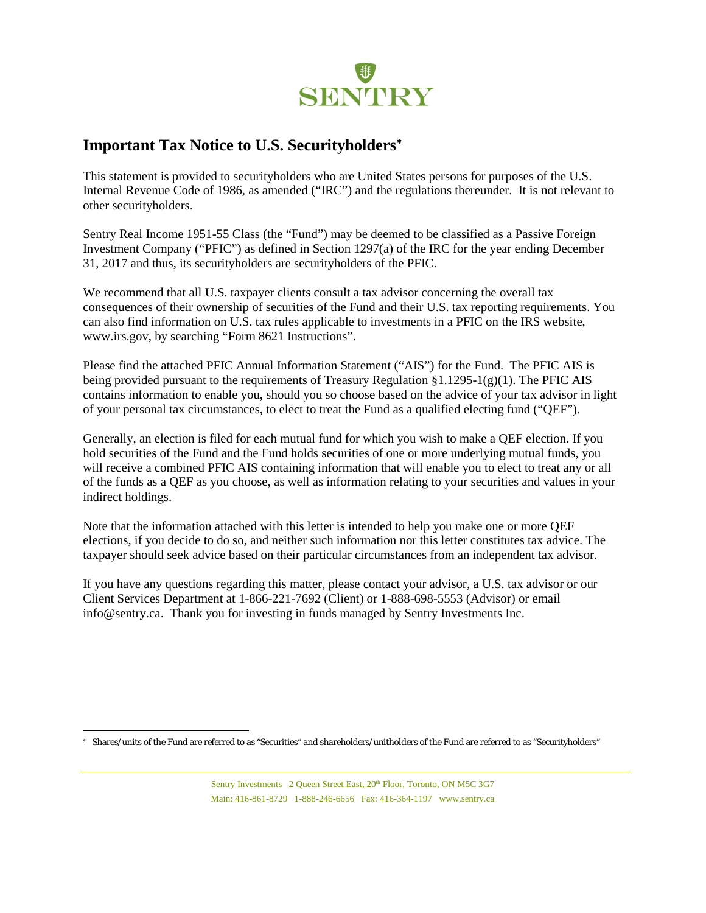

## **Important Tax Notice to U.S. Securityholders**[∗](#page-0-0)

This statement is provided to securityholders who are United States persons for purposes of the U.S. Internal Revenue Code of 1986, as amended ("IRC") and the regulations thereunder. It is not relevant to other securityholders.

Sentry Real Income 1951-55 Class (the "Fund") may be deemed to be classified as a Passive Foreign Investment Company ("PFIC") as defined in Section 1297(a) of the IRC for the year ending December 31, 2017 and thus, its securityholders are securityholders of the PFIC.

We recommend that all U.S. taxpayer clients consult a tax advisor concerning the overall tax consequences of their ownership of securities of the Fund and their U.S. tax reporting requirements. You can also find information on U.S. tax rules applicable to investments in a PFIC on the IRS website, www.irs.gov, by searching "Form 8621 Instructions".

Please find the attached PFIC Annual Information Statement ("AIS") for the Fund. The PFIC AIS is being provided pursuant to the requirements of Treasury Regulation §1.1295-1(g)(1). The PFIC AIS contains information to enable you, should you so choose based on the advice of your tax advisor in light of your personal tax circumstances, to elect to treat the Fund as a qualified electing fund ("QEF").

Generally, an election is filed for each mutual fund for which you wish to make a QEF election. If you hold securities of the Fund and the Fund holds securities of one or more underlying mutual funds, you will receive a combined PFIC AIS containing information that will enable you to elect to treat any or all of the funds as a QEF as you choose, as well as information relating to your securities and values in your indirect holdings.

Note that the information attached with this letter is intended to help you make one or more QEF elections, if you decide to do so, and neither such information nor this letter constitutes tax advice. The taxpayer should seek advice based on their particular circumstances from an independent tax advisor.

If you have any questions regarding this matter, please contact your advisor, a U.S. tax advisor or our Client Services Department at 1-866-221-7692 (Client) or 1-888-698-5553 (Advisor) or email info@sentry.ca. Thank you for investing in funds managed by Sentry Investments Inc.

<span id="page-0-0"></span>l <sup>∗</sup> Shares/units of the Fund are referred to as "Securities" and shareholders/unitholders of the Fund are referred to as "Securityholders"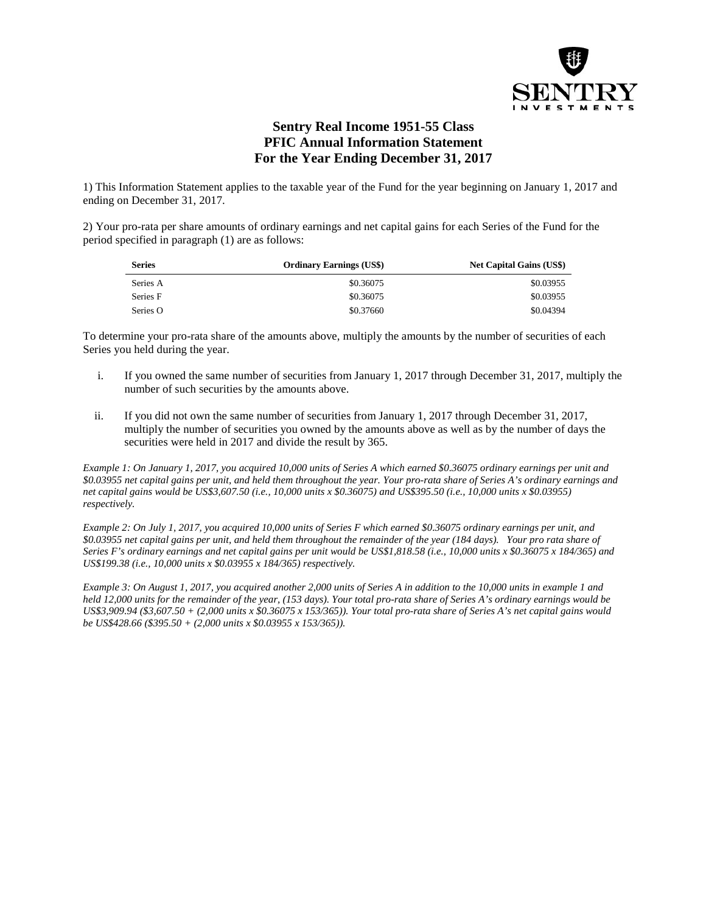

## **Sentry Real Income 1951-55 Class PFIC Annual Information Statement For the Year Ending December 31, 2017**

1) This Information Statement applies to the taxable year of the Fund for the year beginning on January 1, 2017 and ending on December 31, 2017.

2) Your pro-rata per share amounts of ordinary earnings and net capital gains for each Series of the Fund for the period specified in paragraph (1) are as follows:

| <b>Series</b> | <b>Ordinary Earnings (US\$)</b> | <b>Net Capital Gains (US\$)</b> |
|---------------|---------------------------------|---------------------------------|
| Series A      | \$0.36075                       | \$0.03955                       |
| Series F      | \$0.36075                       | \$0.03955                       |
| Series O      | \$0.37660                       | \$0.04394                       |

To determine your pro-rata share of the amounts above, multiply the amounts by the number of securities of each Series you held during the year.

- i. If you owned the same number of securities from January 1, 2017 through December 31, 2017, multiply the number of such securities by the amounts above.
- ii. If you did not own the same number of securities from January 1, 2017 through December 31, 2017, multiply the number of securities you owned by the amounts above as well as by the number of days the securities were held in 2017 and divide the result by 365.

*Example 1: On January 1, 2017, you acquired 10,000 units of Series A which earned \$0.36075 ordinary earnings per unit and \$0.03955 net capital gains per unit, and held them throughout the year. Your pro-rata share of Series A's ordinary earnings and net capital gains would be US\$3,607.50 (i.e., 10,000 units x \$0.36075) and US\$395.50 (i.e., 10,000 units x \$0.03955) respectively.*

*Example 2: On July 1, 2017, you acquired 10,000 units of Series F which earned \$0.36075 ordinary earnings per unit, and \$0.03955 net capital gains per unit, and held them throughout the remainder of the year (184 days). Your pro rata share of Series F's ordinary earnings and net capital gains per unit would be US\$1,818.58 (i.e., 10,000 units x \$0.36075 x 184/365) and US\$199.38 (i.e., 10,000 units x \$0.03955 x 184/365) respectively.*

*Example 3: On August 1, 2017, you acquired another 2,000 units of Series A in addition to the 10,000 units in example 1 and held 12,000 units for the remainder of the year, (153 days). Your total pro-rata share of Series A's ordinary earnings would be US\$3,909.94 (\$3,607.50 + (2,000 units x \$0.36075 x 153/365)). Your total pro-rata share of Series A's net capital gains would be US\$428.66 (\$395.50 + (2,000 units x \$0.03955 x 153/365)).*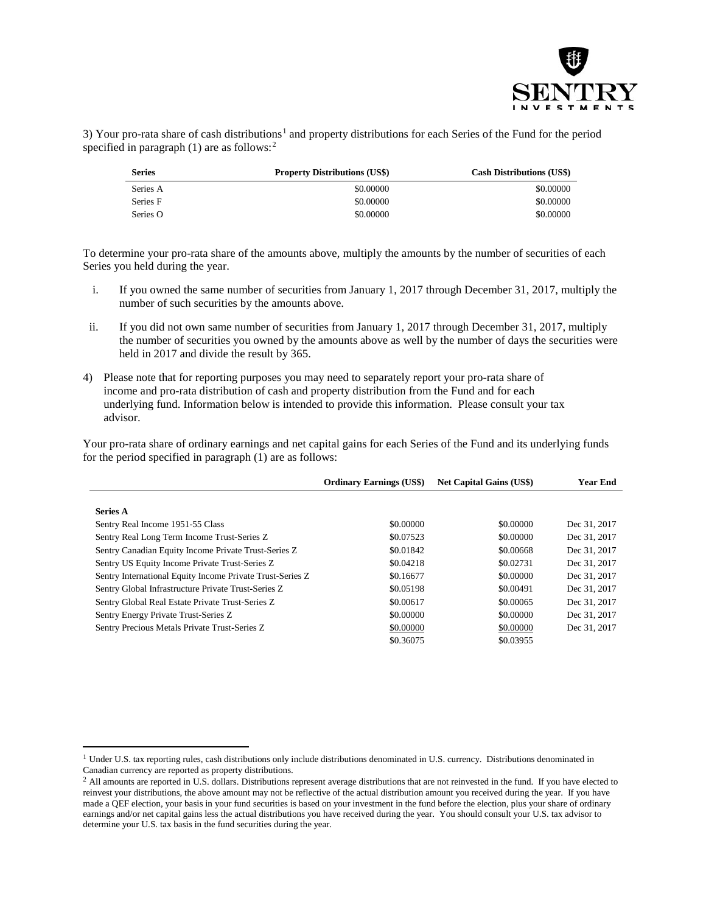

3) Your pro-rata share of cash distributions<sup>[1](#page-2-0)</sup> and property distributions for each Series of the Fund for the period specified in paragraph  $(1)$  are as follows:<sup>[2](#page-2-1)</sup>

| <b>Series</b> | <b>Property Distributions (US\$)</b> | <b>Cash Distributions (US\$)</b> |
|---------------|--------------------------------------|----------------------------------|
| Series A      | \$0,00000                            | \$0,00000                        |
| Series F      | \$0,00000                            | \$0,00000                        |
| Series O      | \$0,00000                            | \$0,00000                        |

To determine your pro-rata share of the amounts above, multiply the amounts by the number of securities of each Series you held during the year.

- i. If you owned the same number of securities from January 1, 2017 through December 31, 2017, multiply the number of such securities by the amounts above.
- ii. If you did not own same number of securities from January 1, 2017 through December 31, 2017, multiply the number of securities you owned by the amounts above as well by the number of days the securities were held in 2017 and divide the result by 365.
- 4) Please note that for reporting purposes you may need to separately report your pro-rata share of income and pro-rata distribution of cash and property distribution from the Fund and for each underlying fund. Information below is intended to provide this information. Please consult your tax advisor.

Your pro-rata share of ordinary earnings and net capital gains for each Series of the Fund and its underlying funds for the period specified in paragraph (1) are as follows:

|                                                           | <b>Ordinary Earnings (US\$)</b> | <b>Net Capital Gains (US\$)</b> | <b>Year End</b> |
|-----------------------------------------------------------|---------------------------------|---------------------------------|-----------------|
|                                                           |                                 |                                 |                 |
| <b>Series A</b>                                           |                                 |                                 |                 |
| Sentry Real Income 1951-55 Class                          | \$0,00000                       | \$0,00000                       | Dec 31, 2017    |
| Sentry Real Long Term Income Trust-Series Z               | \$0.07523                       | \$0,00000                       | Dec 31, 2017    |
| Sentry Canadian Equity Income Private Trust-Series Z      | \$0.01842                       | \$0.00668                       | Dec 31, 2017    |
| Sentry US Equity Income Private Trust-Series Z            | \$0.04218                       | \$0.02731                       | Dec 31, 2017    |
| Sentry International Equity Income Private Trust-Series Z | \$0.16677                       | \$0,00000                       | Dec 31, 2017    |
| Sentry Global Infrastructure Private Trust-Series Z       | \$0.05198                       | \$0.00491                       | Dec 31, 2017    |
| Sentry Global Real Estate Private Trust-Series Z          | \$0.00617                       | \$0,00065                       | Dec 31, 2017    |
| Sentry Energy Private Trust-Series Z                      | \$0,00000                       | \$0,00000                       | Dec 31, 2017    |
| Sentry Precious Metals Private Trust-Series Z             | \$0,00000                       | \$0,00000                       | Dec 31, 2017    |
|                                                           | \$0.36075                       | \$0.03955                       |                 |

 $\overline{a}$ 

<span id="page-2-0"></span><sup>&</sup>lt;sup>1</sup> Under U.S. tax reporting rules, cash distributions only include distributions denominated in U.S. currency. Distributions denominated in Canadian currency are reported as property distributions.

<span id="page-2-1"></span><sup>&</sup>lt;sup>2</sup> All amounts are reported in U.S. dollars. Distributions represent average distributions that are not reinvested in the fund. If you have elected to reinvest your distributions, the above amount may not be reflective of the actual distribution amount you received during the year. If you have made a QEF election, your basis in your fund securities is based on your investment in the fund before the election, plus your share of ordinary earnings and/or net capital gains less the actual distributions you have received during the year. You should consult your U.S. tax advisor to determine your U.S. tax basis in the fund securities during the year.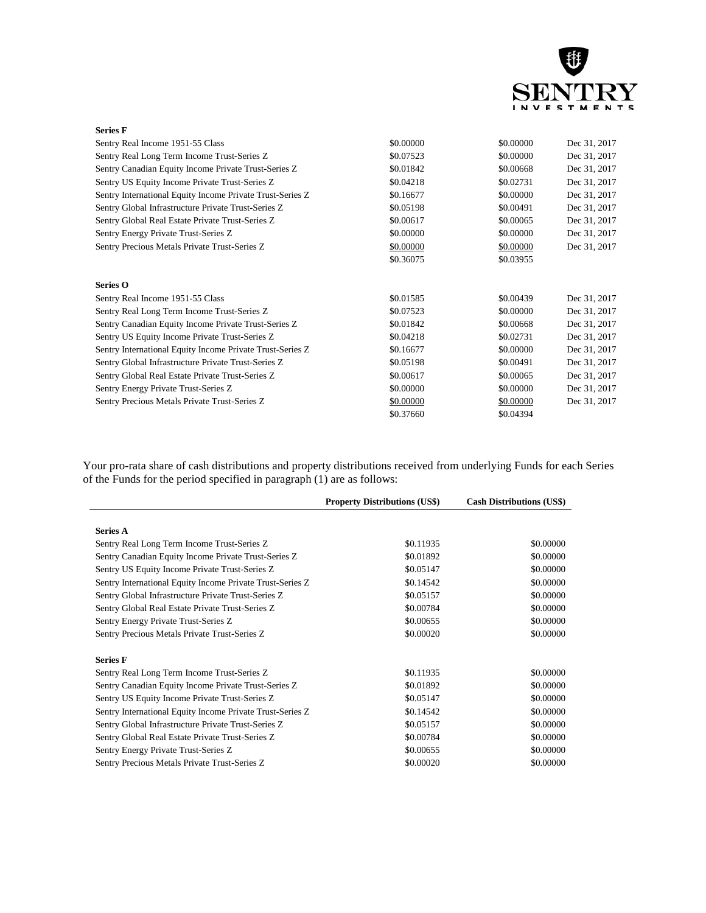

| \$0.00000 | \$0.00000 | Dec 31, 2017 |
|-----------|-----------|--------------|
| \$0.07523 | \$0.00000 | Dec 31, 2017 |
| \$0.01842 | \$0.00668 | Dec 31, 2017 |
| \$0.04218 | \$0.02731 | Dec 31, 2017 |
| \$0.16677 | \$0.00000 | Dec 31, 2017 |
| \$0.05198 | \$0.00491 | Dec 31, 2017 |
| \$0.00617 | \$0.00065 | Dec 31, 2017 |
| \$0.00000 | \$0.00000 | Dec 31, 2017 |
| \$0.00000 | \$0.00000 | Dec 31, 2017 |
| \$0.36075 | \$0.03955 |              |
|           |           |              |
| \$0.01585 | \$0.00439 | Dec 31, 2017 |
| \$0.07523 | \$0.00000 | Dec 31, 2017 |
| \$0.01842 | \$0.00668 | Dec 31, 2017 |
| \$0.04218 | \$0.02731 | Dec 31, 2017 |
| \$0.16677 | \$0.00000 | Dec 31, 2017 |
| \$0.05198 | \$0.00491 | Dec 31, 2017 |
| \$0.00617 | \$0.00065 | Dec 31, 2017 |
| \$0.00000 | \$0.00000 | Dec 31, 2017 |
| \$0.00000 | \$0.00000 | Dec 31, 2017 |
| \$0.37660 | \$0.04394 |              |
|           |           |              |

Your pro-rata share of cash distributions and property distributions received from underlying Funds for each Series of the Funds for the period specified in paragraph (1) are as follows:

|                                                           | <b>Property Distributions (US\$)</b> | <b>Cash Distributions (US\$)</b> |
|-----------------------------------------------------------|--------------------------------------|----------------------------------|
|                                                           |                                      |                                  |
| <b>Series A</b>                                           |                                      |                                  |
| Sentry Real Long Term Income Trust-Series Z               | \$0.11935                            | \$0.00000                        |
| Sentry Canadian Equity Income Private Trust-Series Z      | \$0.01892                            | \$0,00000                        |
| Sentry US Equity Income Private Trust-Series Z            | \$0.05147                            | \$0.00000                        |
| Sentry International Equity Income Private Trust-Series Z | \$0.14542                            | \$0.00000                        |
| Sentry Global Infrastructure Private Trust-Series Z       | \$0.05157                            | \$0.00000                        |
| Sentry Global Real Estate Private Trust-Series Z          | \$0.00784                            | \$0.00000                        |
| Sentry Energy Private Trust-Series Z                      | \$0.00655                            | \$0.00000                        |
| Sentry Precious Metals Private Trust-Series Z             | \$0.00020                            | \$0,00000                        |
| <b>Series F</b>                                           |                                      |                                  |
| Sentry Real Long Term Income Trust-Series Z               | \$0.11935                            | \$0,00000                        |
| Sentry Canadian Equity Income Private Trust-Series Z      | \$0.01892                            | \$0.00000                        |
| Sentry US Equity Income Private Trust-Series Z            | \$0.05147                            | \$0,00000                        |
| Sentry International Equity Income Private Trust-Series Z | \$0.14542                            | \$0.00000                        |
| Sentry Global Infrastructure Private Trust-Series Z       | \$0.05157                            | \$0.00000                        |
| Sentry Global Real Estate Private Trust-Series Z          | \$0.00784                            | \$0.00000                        |
| Sentry Energy Private Trust-Series Z                      | \$0.00655                            | \$0.00000                        |
| Sentry Precious Metals Private Trust-Series Z             | \$0.00020                            | \$0.00000                        |